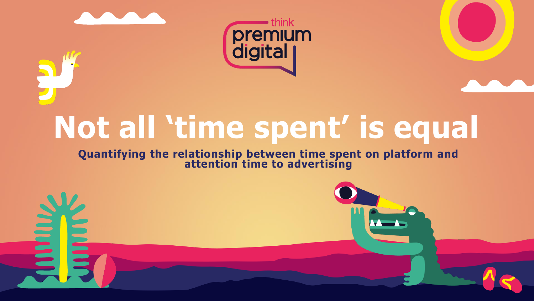



# **Not all 'time spent' is equal**

### **Quantifying the relationship between time spent on platform and attention time to advertising**

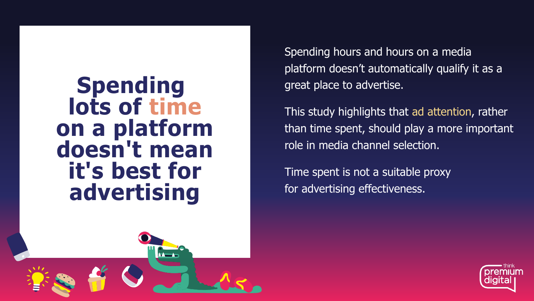**Spending lots of time on a platform doesn't mean it's best for advertising**



Spending hours and hours on a media platform doesn't automatically qualify it as a great place to advertise.

This study highlights that ad attention, rather than time spent, should play a more important role in media channel selection.

Time spent is not a suitable proxy for advertising effectiveness.

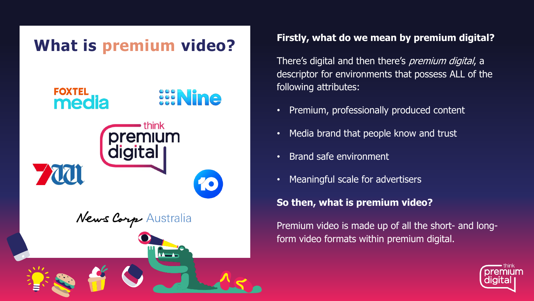

There's digital and then there's *premium digital*, a descriptor for environments that possess ALL of the following attributes:

- Premium, professionally produced content
- Media brand that people know and trust
- Brand safe environment
- Meaningful scale for advertisers

## **So then, what is premium video?**

Premium video is made up of all the short- and longform video formats within premium digital.

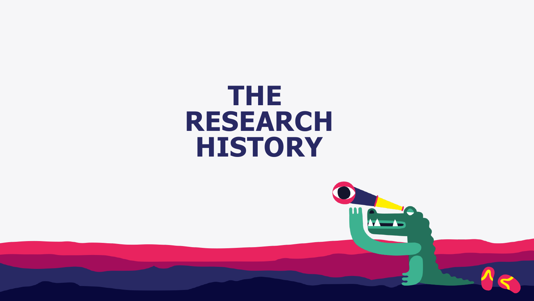## **THE RESEARCH HISTORY**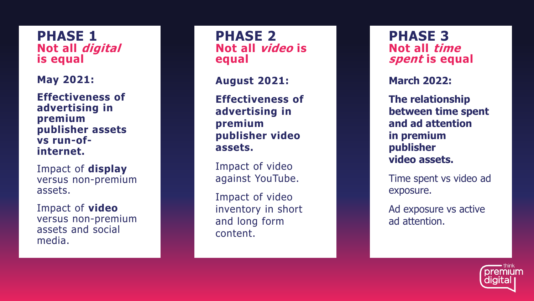**PHASE 1 Not all digital is equal**

**May 2021:**

**Effectiveness of advertising in premium publisher assets vs run -of internet.**

Impact of **display**  versus non -premium assets.

Impact of **video** versus non -premium assets and social media.

**PHASE 2 Not all video is equal**

**August 2021:**

**Effectiveness of advertising in premium publisher video assets.**

Impact of video against YouTube.

Impact of video inventory in short and long form content.

**PHASE 3 Not all time spent is equal**

**March 2022:**

**The relationship between time spent and ad attention in premium publisher video assets.**

Time spent vs video ad exposure.

Ad exposure vs active ad attention.

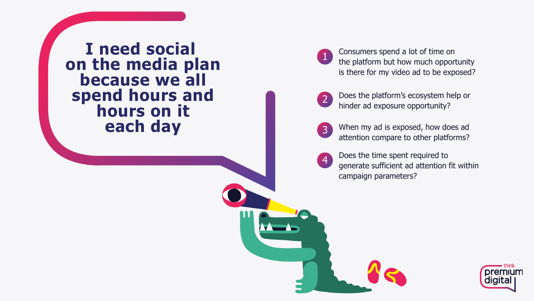**I need social on the media plan because we all spend hours and hours on it each day**

Consumers spend a lot of time on the platform but how much opportunity is there for my video ad to be exposed ? 1

Does the platform's ecosystem help or hinder ad exposure opportunity? 2

When my ad is exposed, how does ad  $\overline{3}$ 3<br>4<br>4 attention compare to other platforms?

Does the time spent required to  $\overline{4}$ generate sufficient ad attention fit within campaign parameters?

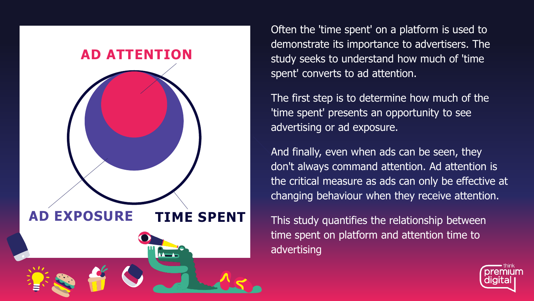

Often the 'time spent' on a platform is used to demonstrate its importance to advertisers. The study seeks to understand how much of 'time spent' converts to ad attention.

The first step is to determine how much of the 'time spent' presents an opportunity to see advertising or ad exposure.

And finally, even when ads can be seen, they don't always command attention. Ad attention is the critical measure as ads can only be effective at changing behaviour when they receive attention.

This study quantifies the relationship between time spent on platform and attention time to advertising

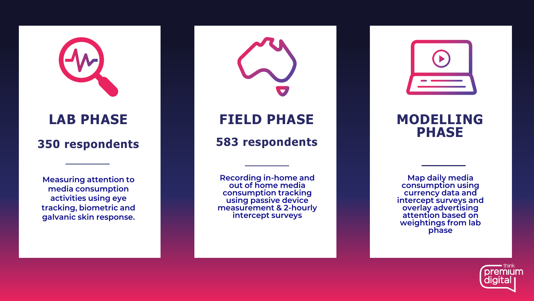## **LAB PHASE**

### **350 respondents**

**Measuring attention to media consumption activities using eye tracking, biometric and galvanic skin response.** 

**Recording in -home and out of home media consumption tracking using passive device measurement & 2 -hourly intercept surveys**

**FIELD PHASE**

**583 respondents**

## **MODELLING PHASE**

**Map daily media consumption using currency data and intercept surveys and overlay advertising attention based on weightings from lab phase**

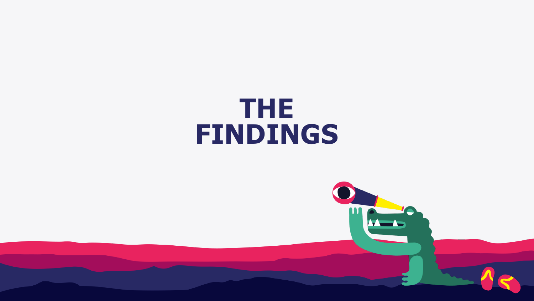## **THE FINDINGS**

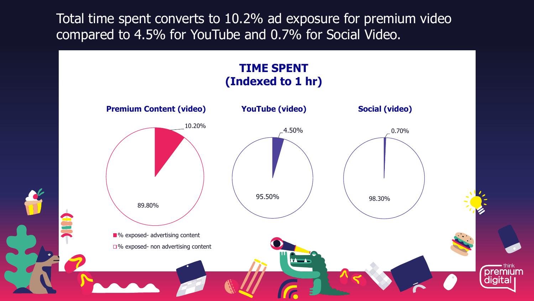Total time spent converts to 10.2% ad exposure for premium video compared to 4.5% for YouTube and 0.7% for Social Video.

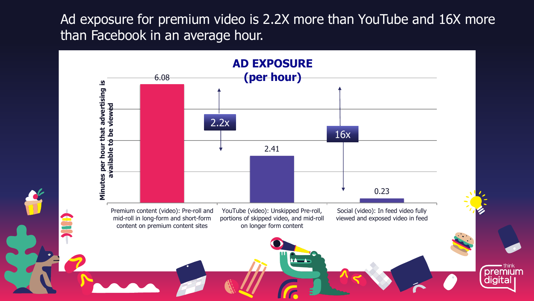Ad exposure for premium video is 2.2X more than YouTube and 16X more than Facebook in an average hour.



**premit**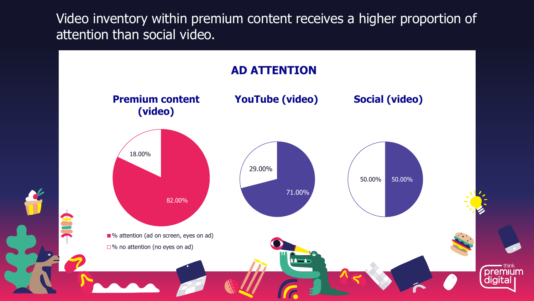Video inventory within premium content receives a higher proportion of attention than social video.

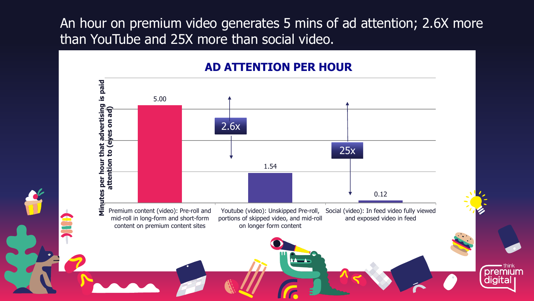An hour on premium video generates 5 mins of ad attention; 2.6X more than YouTube and 25X more than social video.

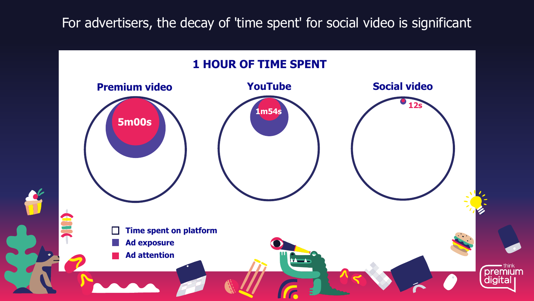For advertisers, the decay of 'time spent' for social video is significant

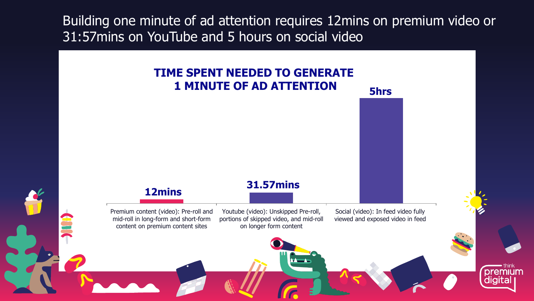Building one minute of ad attention requires 12mins on premium video or 31:57mins on YouTube and 5 hours on social video

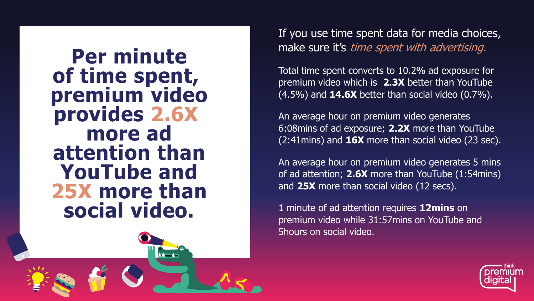**Per minute of time spent, premium video provides 2.6X more ad attention than YouTube and 25X more than social video.**



If you use time spent data for media choices, make sure it's time spent with advertising.

Total time spent converts to 10.2% ad exposure for premium video which is **2.3X** better than YouTube (4.5%) and **14.6X** better than social video (0.7%).

An average hour on premium video generates 6:08mins of ad exposure; **2.2X** more than YouTube (2:41mins) and **16X** more than social video (23 sec).

An average hour on premium video generates 5 mins of ad attention; **2.6X** more than YouTube (1:54mins) and **25X** more than social video (12 secs).

1 minute of ad attention requires **12mins** on premium video while 31:57mins on YouTube and 5hours on social video.

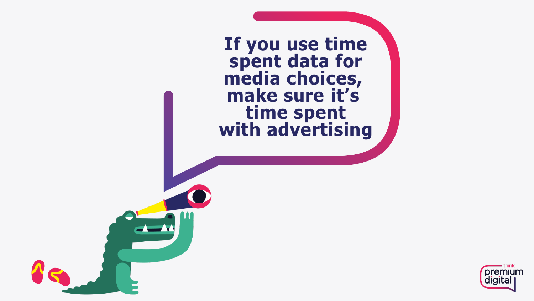**If you use time spent data for media choices, make sure it's time spent with advertising**